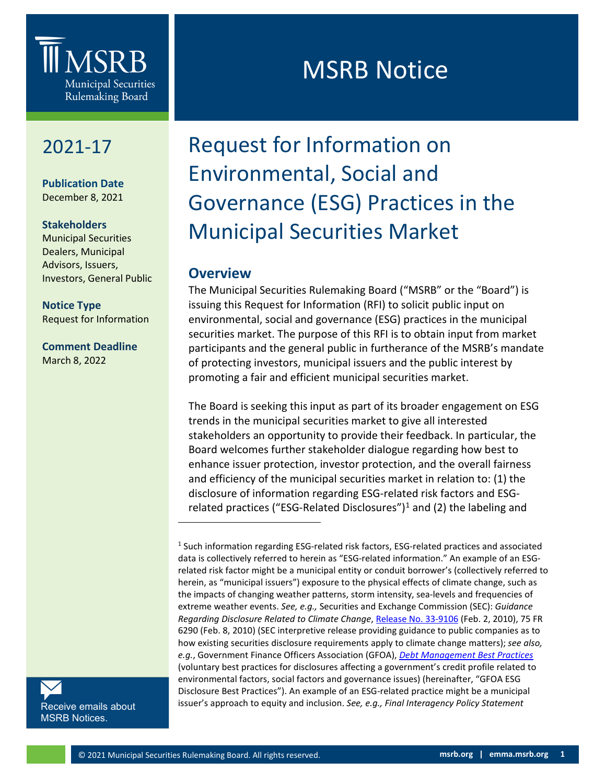

# 2021-17

**Publication Date** December 8, 2021

## **Stakeholders**

Municipal Securities Dealers, Municipal Advisors, Issuers, Investors, General Public

**Notice Type** Request for Information

# **Comment Deadline** March 8, 2022

# MSRB Notice

# Request for Information on Environmental, Social and Governance (ESG) Practices in the Municipal Securities Market

# **Overview**

The Municipal Securities Rulemaking Board ("MSRB" or the "Board") is issuing this Request for Information (RFI) to solicit public input on environmental, social and governance (ESG) practices in the municipal securities market. The purpose of this RFI is to obtain input from market participants and the general public in furtherance of the MSRB's mandate of protecting investors, municipal issuers and the public interest by promoting a fair and efficient municipal securities market.

The Board is seeking this input as part of its broader engagement on ESG trends in the municipal securities market to give all interested stakeholders an opportunity to provide their feedback. In particular, the Board welcomes further stakeholder dialogue regarding how best to enhance issuer protection, investor protection, and the overall fairness and efficiency of the municipal securities market in relation to: (1) the disclosure of information regarding ESG-related risk factors and ESG-related practices ("ESG-Related Disclosures")<sup>[1](#page-0-0)</sup> and (2) the labeling and

<span id="page-0-0"></span>[Receive emails about](https://public.govdelivery.com/accounts/VAORGMSRB/subscriber/new?topic_id=VAORGMSRB_9)  [MSRB Notices.](https://public.govdelivery.com/accounts/VAORGMSRB/subscriber/new?topic_id=VAORGMSRB_9)

<sup>1</sup> Such information regarding ESG-related risk factors, ESG-related practices and associated data is collectively referred to herein as "ESG-related information." An example of an ESGrelated risk factor might be a municipal entity or conduit borrower's (collectively referred to herein, as "municipal issuers") exposure to the physical effects of climate change, such as the impacts of changing weather patterns, storm intensity, sea-levels and frequencies of extreme weather events. *See, e.g.,* Securities and Exchange Commission (SEC): *Guidance Regarding Disclosure Related to Climate Change*, [Release No. 33-9106](https://www.sec.gov/rules/interp/2010/33-9106.pdf) (Feb. 2, 2010), 75 FR 6290 (Feb. 8, 2010) (SEC interpretive release providing guidance to public companies as to how existing securities disclosure requirements apply to climate change matters); *see also, e.g.*, Government Finance Officers Association (GFOA), *[Debt Management Best Practices](https://www.gfoa.org/best-practices/debt-best-practices)* (voluntary best practices for disclosures affecting a government's credit profile related to environmental factors, social factors and governance issues) (hereinafter, "GFOA ESG Disclosure Best Practices"). An example of an ESG-related practice might be a municipal issuer's approach to equity and inclusion. *See, e.g., Final Interagency Policy Statement*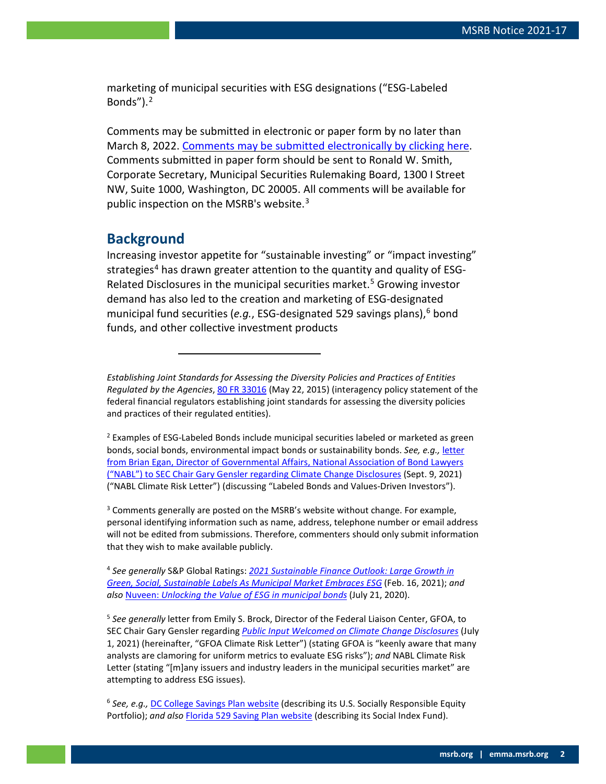marketing of municipal securities with ESG designations ("ESG-Labeled Bonds" $)$ .<sup>[2](#page-1-0)</sup>

Comments may be submitted in electronic or paper form by no later than March 8, 2022. [Comments may be submitted electronically by clicking here.](http://www.msrb.org/Comment.aspx?notice=2021-17) Comments submitted in paper form should be sent to Ronald W. Smith, Corporate Secretary, Municipal Securities Rulemaking Board, 1300 I Street NW, Suite 1000, Washington, DC 20005. All comments will be available for public inspection on the MSRB's website.<sup>[3](#page-1-1)</sup>

# **Background**

Increasing investor appetite for "sustainable investing" or "impact investing" strategies<sup>[4](#page-1-2)</sup> has drawn greater attention to the quantity and quality of ESG-Related Disclosures in the municipal securities market.<sup>[5](#page-1-3)</sup> Growing investor demand has also led to the creation and marketing of ESG-designated municipal fund securities (*e.g.*, ESG-designated 529 savings plans), <sup>[6](#page-1-4)</sup> bond funds, and other collective investment products

*Establishing Joint Standards for Assessing the Diversity Policies and Practices of Entities Regulated by the Agencies*[, 80 FR 33016](https://www.govinfo.gov/content/pkg/FR-2015-06-10/pdf/2015-14126.pdf) (May 22, 2015) (interagency policy statement of the federal financial regulators establishing joint standards for assessing the diversity policies and practices of their regulated entities).

<span id="page-1-0"></span> $<sup>2</sup>$  Examples of ESG-Labeled Bonds include municipal securities labeled or marketed as green</sup> bonds, social bonds, environmental impact bonds or sustainability bonds. *See, e.g.,* [letter](https://www.sec.gov/comments/climate-disclosure/cll12-9218139-250189.pdf)  [from Brian Egan, Director of Governmental Affairs, National Association of Bond Lawyers](https://www.sec.gov/comments/climate-disclosure/cll12-9218139-250189.pdf)  [\("NABL"\) to SEC Chair Gary Gensler regarding Climate Change Disclosures](https://www.sec.gov/comments/climate-disclosure/cll12-9218139-250189.pdf) (Sept. 9, 2021) ("NABL Climate Risk Letter") (discussing "Labeled Bonds and Values-Driven Investors").

<span id="page-1-1"></span> $3$  Comments generally are posted on the MSRB's website without change. For example, personal identifying information such as name, address, telephone number or email address will not be edited from submissions. Therefore, commenters should only submit information that they wish to make available publicly.

<span id="page-1-2"></span><sup>4</sup> *See generally* S&P Global Ratings: *[2021 Sustainable Finance Outlook: Large Growth in](https://www.spglobal.com/ratings/en/research/articles/210216-2021-sustainable-finance-outlook-large-growth-in-green-social-sustainable-labels-as-municipal-market-embra-11828597)  [Green, Social, Sustainable Labels As Municipal Market Embraces ESG](https://www.spglobal.com/ratings/en/research/articles/210216-2021-sustainable-finance-outlook-large-growth-in-green-social-sustainable-labels-as-municipal-market-embra-11828597)* (Feb. 16, 2021); *and also* Nuveen: *[Unlocking the Value of ESG in municipal bonds](https://www.nuveen.com/en-us/institutional/insights/responsible-investing/unlocking-the-value-of-esg-in-municipal-bonds)* (July 21, 2020).

<span id="page-1-3"></span><sup>5</sup> *See generally* letter from Emily S. Brock, Director of the Federal Liaison Center, GFOA, to SEC Chair Gary Gensler regarding *[Public Input Welcomed on Climate Change Disclosures](https://www.sec.gov/comments/climate-disclosure/cll12-9027450-246107.pdf)* (July 1, 2021) (hereinafter, "GFOA Climate Risk Letter") (stating GFOA is "keenly aware that many analysts are clamoring for uniform metrics to evaluate ESG risks"); *and* NABL Climate Risk Letter (stating "[m]any issuers and industry leaders in the municipal securities market" are attempting to address ESG issues).

<span id="page-1-4"></span><sup>6</sup> *See, e.g.,* [DC College Savings Plan website](https://www.dccollegesavings.com/dcdtpl/fund/details.cs?fundId=1049007) (describing its U.S. Socially Responsible Equity Portfolio); *and also* [Florida 529 Saving Plan website](https://www.myfloridaprepaid.com/savings-plan/investment-options/) (describing its Social Index Fund).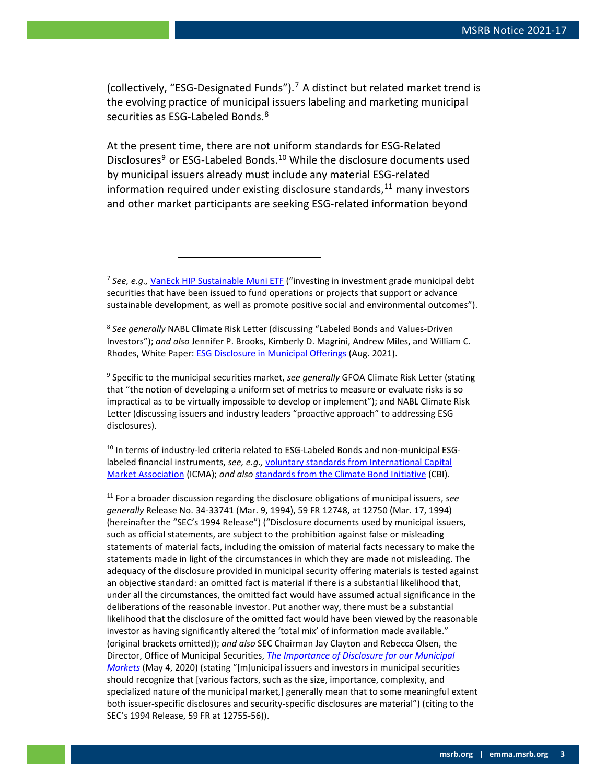(collectively, "ESG-Designated Funds").<sup>[7](#page-2-0)</sup> A distinct but related market trend is the evolving practice of municipal issuers labeling and marketing municipal securities as ESG-Labeled Bonds.<sup>8</sup>

At the present time, there are not uniform standards for ESG-Related Disclosures<sup>[9](#page-2-2)</sup> or ESG-Labeled Bonds.<sup>[10](#page-2-3)</sup> While the disclosure documents used by municipal issuers already must include any material ESG-related information required under existing disclosure standards,  $11$  many investors and other market participants are seeking ESG-related information beyond

<span id="page-2-0"></span><sup>7</sup> *See, e.g.,* [VanEck HIP Sustainable Muni ETF](https://www.vaneck.com/us/en/investments/hip-sustainable-muni-etf-smi/?gclid=Cj0KCQjww4OMBhCUARIsAILndv7u-WNGoQ_wgu-aztD4AUhSXbpWhZBGctN5MpoSBvrC3lPZ9Hwu3MQaApi9EALw_wcB.) ("investing in investment grade municipal debt securities that have been issued to fund operations or projects that support or advance sustainable development, as well as promote positive social and environmental outcomes").

<span id="page-2-1"></span><sup>8</sup> *See generally* NABL Climate Risk Letter (discussing "Labeled Bonds and Values-Driven Investors"); *and also* Jennifer P. Brooks, Kimberly D. Magrini, Andrew Miles, and William C. Rhodes, White Paper: **ESG Disclosure in Municipal Offerings** (Aug. 2021).

<span id="page-2-2"></span><sup>9</sup> Specific to the municipal securities market, *see generally* GFOA Climate Risk Letter (stating that "the notion of developing a uniform set of metrics to measure or evaluate risks is so impractical as to be virtually impossible to develop or implement"); and NABL Climate Risk Letter (discussing issuers and industry leaders "proactive approach" to addressing ESG disclosures).

<span id="page-2-3"></span><sup>10</sup> In terms of industry-led criteria related to ESG-Labeled Bonds and non-municipal ESGlabeled financial instruments, *see, e.g.,* [voluntary standards from International Capital](https://www.icmagroup.org/sustainable-finance/the-principles-guidelines-and-handbooks/)  [Market Association](https://www.icmagroup.org/sustainable-finance/the-principles-guidelines-and-handbooks/) (ICMA); *and also* [standards from the Climate Bond Initiative](https://www.climatebonds.net/standard) (CBI).

<span id="page-2-4"></span><sup>11</sup> For a broader discussion regarding the disclosure obligations of municipal issuers, *see generally* Release No. 34-33741 (Mar. 9, 1994), 59 FR 12748, at 12750 (Mar. 17, 1994) (hereinafter the "SEC's 1994 Release") ("Disclosure documents used by municipal issuers, such as official statements, are subject to the prohibition against false or misleading statements of material facts, including the omission of material facts necessary to make the statements made in light of the circumstances in which they are made not misleading. The adequacy of the disclosure provided in municipal security offering materials is tested against an objective standard: an omitted fact is material if there is a substantial likelihood that, under all the circumstances, the omitted fact would have assumed actual significance in the deliberations of the reasonable investor. Put another way, there must be a substantial likelihood that the disclosure of the omitted fact would have been viewed by the reasonable investor as having significantly altered the 'total mix' of information made available." (original brackets omitted)); *and also* SEC Chairman Jay Clayton and Rebecca Olsen, the Director, Office of Municipal Securities, *[The Importance of Disclosure for our Municipal](https://www.sec.gov/news/public-statement/statement-clayton-olsen-2020-05-04#_ednref10)  [Markets](https://www.sec.gov/news/public-statement/statement-clayton-olsen-2020-05-04#_ednref10)* (May 4, 2020) (stating "[m]unicipal issuers and investors in municipal securities should recognize that [various factors, such as the size, importance, complexity, and specialized nature of the municipal market,] generally mean that to some meaningful extent both issuer-specific disclosures and security-specific disclosures are material") (citing to the SEC's 1994 Release, 59 FR at 12755-56)).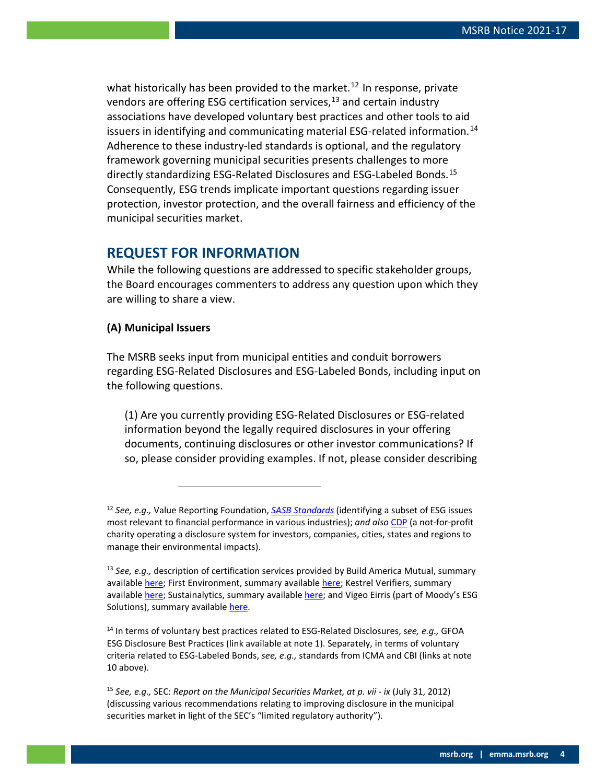what historically has been provided to the market.<sup>[12](#page-3-0)</sup> In response, private vendors are offering ESG certification services,  $13$  and certain industry associations have developed voluntary best practices and other tools to aid issuers in identifying and communicating material ESG-related information.<sup>[14](#page-3-2)</sup> Adherence to these industry-led standards is optional, and the regulatory framework governing municipal securities presents challenges to more directly standardizing ESG-Related Disclosures and ESG-Labeled Bonds.<sup>[15](#page-3-3)</sup> Consequently, ESG trends implicate important questions regarding issuer protection, investor protection, and the overall fairness and efficiency of the municipal securities market.

# **REQUEST FOR INFORMATION**

While the following questions are addressed to specific stakeholder groups, the Board encourages commenters to address any question upon which they are willing to share a view.

### **(A) Municipal Issuers**

The MSRB seeks input from municipal entities and conduit borrowers regarding ESG-Related Disclosures and ESG-Labeled Bonds, including input on the following questions.

(1) Are you currently providing ESG-Related Disclosures or ESG-related information beyond the legally required disclosures in your offering documents, continuing disclosures or other investor communications? If so, please consider providing examples. If not, please consider describing

<span id="page-3-2"></span><sup>14</sup> In terms of voluntary best practices related to ESG-Related Disclosures, s*ee, e.g.,* GFOA ESG Disclosure Best Practices (link available at note 1). Separately, in terms of voluntary criteria related to ESG-Labeled Bonds, *see, e.g.,* standards from ICMA and CBI (links at note 10 above).

<span id="page-3-3"></span><sup>15</sup> *See, e.g.,* SEC: *Report on the Municipal Securities Market, at p. vii - ix* (July 31, 2012) (discussing various recommendations relating to improving disclosure in the municipal securities market in light of the SEC's "limited regulatory authority").

<span id="page-3-0"></span><sup>12</sup> *See, e.g.,* Value Reporting Foundation, *[SASB Standards](https://www.sasb.org/about/)* (identifying a subset of ESG issues most relevant to financial performance in various industries); *and also* [CDP](https://www.cdp.net/en/info/about-us) (a not-for-profit charity operating a disclosure system for investors, companies, cities, states and regions to manage their environmental impacts).

<span id="page-3-1"></span><sup>13</sup> *See, e.g.,* description of certification services provided by Build America Mutual, summary availabl[e here;](https://buildamerica.com/green-bonds/bam-greenstar/) First Environment, summary availabl[e here;](https://firstenvironment.com/wp/service/verification-and-validation) Kestrel Verifiers, summary availabl[e here;](https://kestrelverifiers.com/) Sustainalytics, summary available [here;](https://www.sustainalytics.com/corporate-solutions/sustainable-finance-and-lending/second-party-opinions) and Vigeo Eirris (part of Moody's ESG Solutions), summary available [here.](https://vigeo-eiris.com/solutions-issuers/sustainable-bonds-loans/)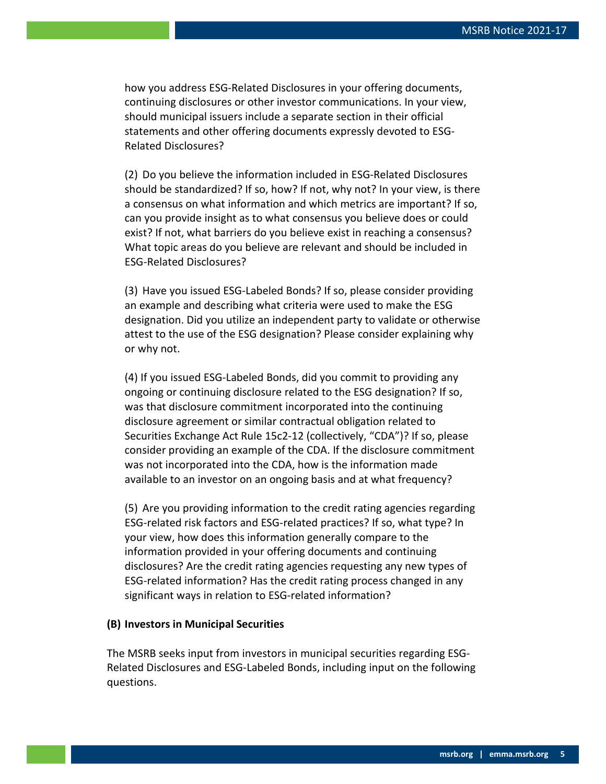how you address ESG-Related Disclosures in your offering documents, continuing disclosures or other investor communications. In your view, should municipal issuers include a separate section in their official statements and other offering documents expressly devoted to ESG-Related Disclosures?

(2) Do you believe the information included in ESG-Related Disclosures should be standardized? If so, how? If not, why not? In your view, is there a consensus on what information and which metrics are important? If so, can you provide insight as to what consensus you believe does or could exist? If not, what barriers do you believe exist in reaching a consensus? What topic areas do you believe are relevant and should be included in ESG-Related Disclosures?

(3) Have you issued ESG-Labeled Bonds? If so, please consider providing an example and describing what criteria were used to make the ESG designation. Did you utilize an independent party to validate or otherwise attest to the use of the ESG designation? Please consider explaining why or why not.

(4) If you issued ESG-Labeled Bonds, did you commit to providing any ongoing or continuing disclosure related to the ESG designation? If so, was that disclosure commitment incorporated into the continuing disclosure agreement or similar contractual obligation related to Securities Exchange Act Rule 15c2-12 (collectively, "CDA")? If so, please consider providing an example of the CDA. If the disclosure commitment was not incorporated into the CDA, how is the information made available to an investor on an ongoing basis and at what frequency?

(5) Are you providing information to the credit rating agencies regarding ESG-related risk factors and ESG-related practices? If so, what type? In your view, how does this information generally compare to the information provided in your offering documents and continuing disclosures? Are the credit rating agencies requesting any new types of ESG-related information? Has the credit rating process changed in any significant ways in relation to ESG-related information?

### **(B) Investors in Municipal Securities**

The MSRB seeks input from investors in municipal securities regarding ESG-Related Disclosures and ESG-Labeled Bonds, including input on the following questions.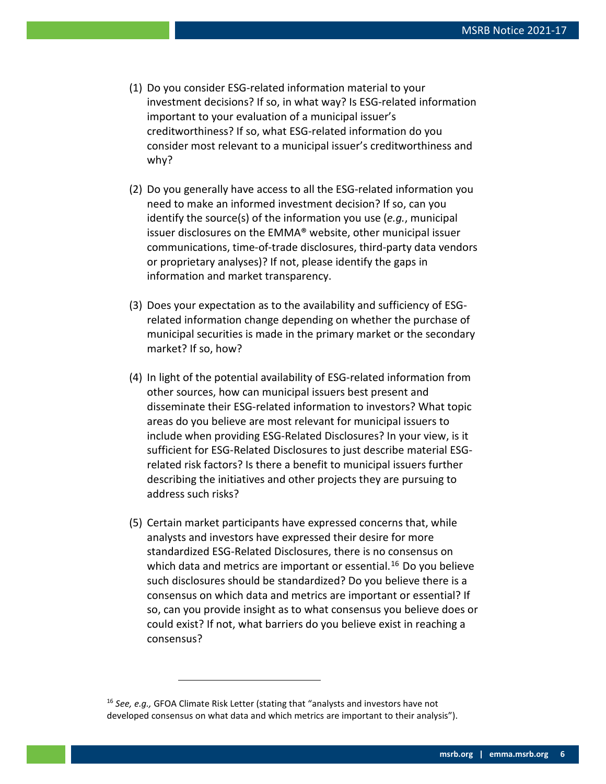- (1) Do you consider ESG-related information material to your investment decisions? If so, in what way? Is ESG-related information important to your evaluation of a municipal issuer's creditworthiness? If so, what ESG-related information do you consider most relevant to a municipal issuer's creditworthiness and why?
- (2) Do you generally have access to all the ESG-related information you need to make an informed investment decision? If so, can you identify the source(s) of the information you use (*e.g.*, municipal issuer disclosures on the EMMA® website, other municipal issuer communications, time-of-trade disclosures, third-party data vendors or proprietary analyses)? If not, please identify the gaps in information and market transparency.
- (3) Does your expectation as to the availability and sufficiency of ESGrelated information change depending on whether the purchase of municipal securities is made in the primary market or the secondary market? If so, how?
- (4) In light of the potential availability of ESG-related information from other sources, how can municipal issuers best present and disseminate their ESG-related information to investors? What topic areas do you believe are most relevant for municipal issuers to include when providing ESG-Related Disclosures? In your view, is it sufficient for ESG-Related Disclosures to just describe material ESGrelated risk factors? Is there a benefit to municipal issuers further describing the initiatives and other projects they are pursuing to address such risks?
- (5) Certain market participants have expressed concerns that, while analysts and investors have expressed their desire for more standardized ESG-Related Disclosures, there is no consensus on which data and metrics are important or essential.<sup>[16](#page-5-0)</sup> Do you believe such disclosures should be standardized? Do you believe there is a consensus on which data and metrics are important or essential? If so, can you provide insight as to what consensus you believe does or could exist? If not, what barriers do you believe exist in reaching a consensus?

<span id="page-5-0"></span><sup>16</sup> *See, e.g.,* GFOA Climate Risk Letter (stating that "analysts and investors have not developed consensus on what data and which metrics are important to their analysis").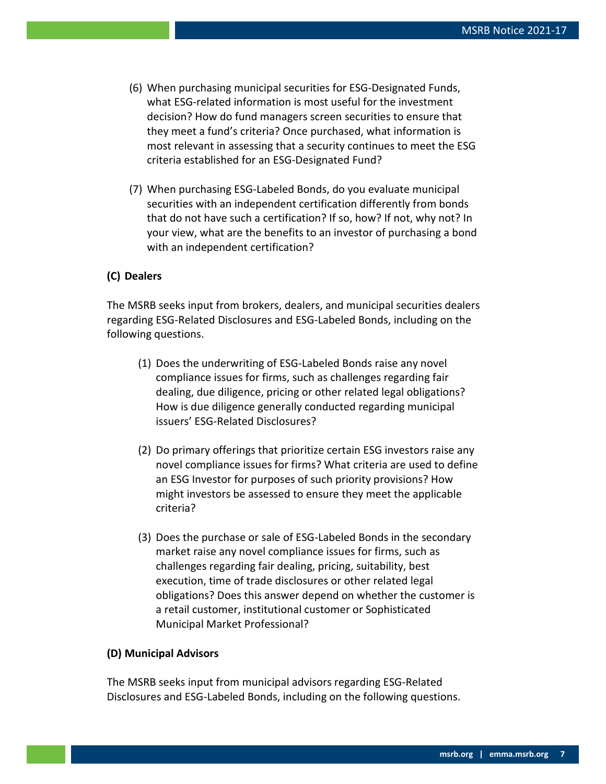- (6) When purchasing municipal securities for ESG-Designated Funds, what ESG-related information is most useful for the investment decision? How do fund managers screen securities to ensure that they meet a fund's criteria? Once purchased, what information is most relevant in assessing that a security continues to meet the ESG criteria established for an ESG-Designated Fund?
- (7) When purchasing ESG-Labeled Bonds, do you evaluate municipal securities with an independent certification differently from bonds that do not have such a certification? If so, how? If not, why not? In your view, what are the benefits to an investor of purchasing a bond with an independent certification?

#### **(C) Dealers**

The MSRB seeks input from brokers, dealers, and municipal securities dealers regarding ESG-Related Disclosures and ESG-Labeled Bonds, including on the following questions.

- (1) Does the underwriting of ESG-Labeled Bonds raise any novel compliance issues for firms, such as challenges regarding fair dealing, due diligence, pricing or other related legal obligations? How is due diligence generally conducted regarding municipal issuers' ESG-Related Disclosures?
- (2) Do primary offerings that prioritize certain ESG investors raise any novel compliance issues for firms? What criteria are used to define an ESG Investor for purposes of such priority provisions? How might investors be assessed to ensure they meet the applicable criteria?
- (3) Does the purchase or sale of ESG-Labeled Bonds in the secondary market raise any novel compliance issues for firms, such as challenges regarding fair dealing, pricing, suitability, best execution, time of trade disclosures or other related legal obligations? Does this answer depend on whether the customer is a retail customer, institutional customer or Sophisticated Municipal Market Professional?

#### **(D) Municipal Advisors**

The MSRB seeks input from municipal advisors regarding ESG-Related Disclosures and ESG-Labeled Bonds, including on the following questions.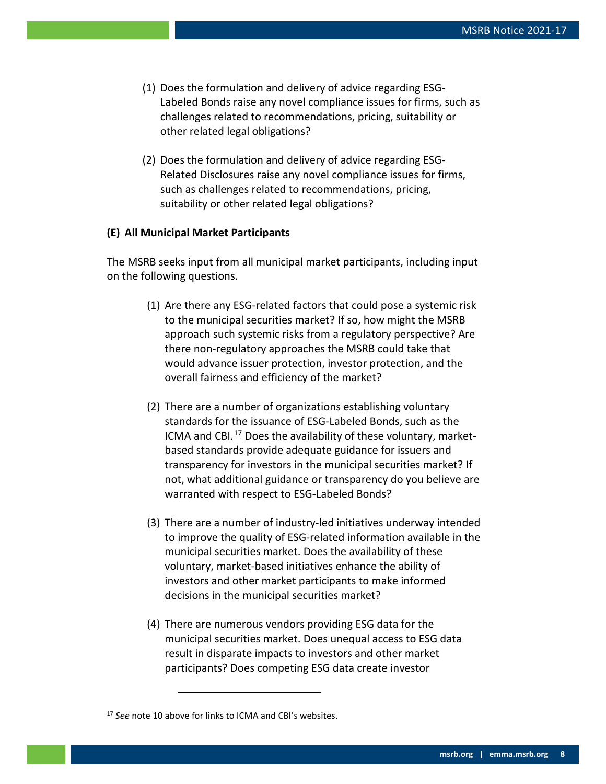- (1) Does the formulation and delivery of advice regarding ESG-Labeled Bonds raise any novel compliance issues for firms, such as challenges related to recommendations, pricing, suitability or other related legal obligations?
- (2) Does the formulation and delivery of advice regarding ESG-Related Disclosures raise any novel compliance issues for firms, such as challenges related to recommendations, pricing, suitability or other related legal obligations?

### **(E) All Municipal Market Participants**

The MSRB seeks input from all municipal market participants, including input on the following questions.

- (1) Are there any ESG-related factors that could pose a systemic risk to the municipal securities market? If so, how might the MSRB approach such systemic risks from a regulatory perspective? Are there non-regulatory approaches the MSRB could take that would advance issuer protection, investor protection, and the overall fairness and efficiency of the market?
- (2) There are a number of organizations establishing voluntary standards for the issuance of ESG-Labeled Bonds, such as the ICMA and CBI.<sup>[17](#page-7-0)</sup> Does the availability of these voluntary, marketbased standards provide adequate guidance for issuers and transparency for investors in the municipal securities market? If not, what additional guidance or transparency do you believe are warranted with respect to ESG-Labeled Bonds?
- (3) There are a number of industry-led initiatives underway intended to improve the quality of ESG-related information available in the municipal securities market. Does the availability of these voluntary, market-based initiatives enhance the ability of investors and other market participants to make informed decisions in the municipal securities market?
- (4) There are numerous vendors providing ESG data for the municipal securities market. Does unequal access to ESG data result in disparate impacts to investors and other market participants? Does competing ESG data create investor

<span id="page-7-0"></span><sup>17</sup> *See* note 10 above for links to ICMA and CBI's websites.